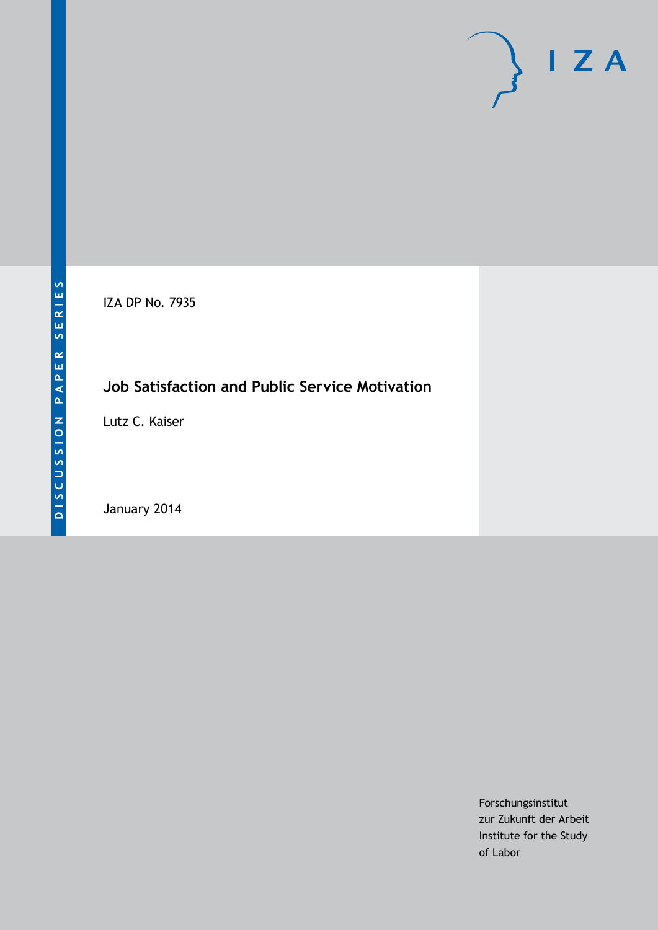IZA DP No. 7935

# **Job Satisfaction and Public Service Motivation**

Lutz C. Kaiser

January 2014

Forschungsinstitut zur Zukunft der Arbeit Institute for the Study of Labor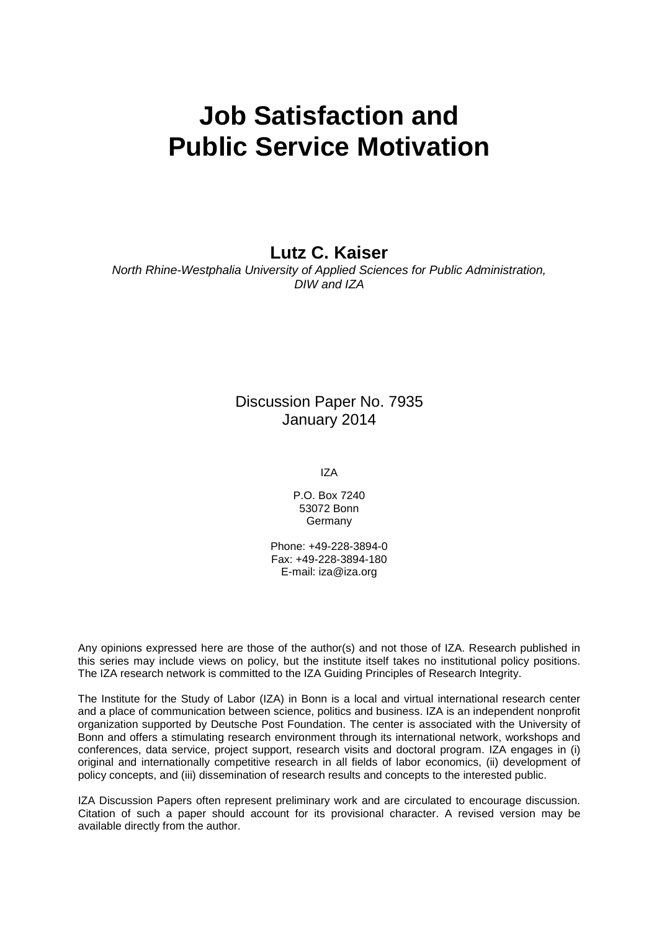# **Job Satisfaction and Public Service Motivation**

**Lutz C. Kaiser**

*North Rhine-Westphalia University of Applied Sciences for Public Administration, DIW and IZA*

## Discussion Paper No. 7935 January 2014

IZA

P.O. Box 7240 53072 Bonn **Germany** 

Phone: +49-228-3894-0 Fax: +49-228-3894-180 E-mail: [iza@iza.org](mailto:iza@iza.org)

Any opinions expressed here are those of the author(s) and not those of IZA. Research published in this series may include views on policy, but the institute itself takes no institutional policy positions. The IZA research network is committed to the IZA Guiding Principles of Research Integrity.

The Institute for the Study of Labor (IZA) in Bonn is a local and virtual international research center and a place of communication between science, politics and business. IZA is an independent nonprofit organization supported by Deutsche Post Foundation. The center is associated with the University of Bonn and offers a stimulating research environment through its international network, workshops and conferences, data service, project support, research visits and doctoral program. IZA engages in (i) original and internationally competitive research in all fields of labor economics, (ii) development of policy concepts, and (iii) dissemination of research results and concepts to the interested public.

IZA Discussion Papers often represent preliminary work and are circulated to encourage discussion. Citation of such a paper should account for its provisional character. A revised version may be available directly from the author.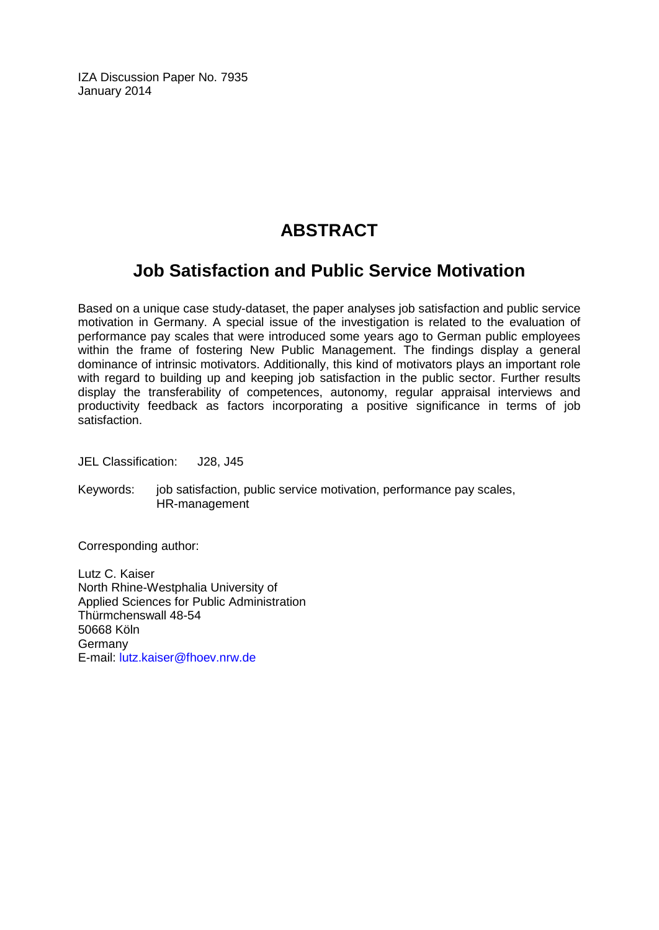IZA Discussion Paper No. 7935 January 2014

## **ABSTRACT**

## **Job Satisfaction and Public Service Motivation**

Based on a unique case study-dataset, the paper analyses job satisfaction and public service motivation in Germany. A special issue of the investigation is related to the evaluation of performance pay scales that were introduced some years ago to German public employees within the frame of fostering New Public Management. The findings display a general dominance of intrinsic motivators. Additionally, this kind of motivators plays an important role with regard to building up and keeping job satisfaction in the public sector. Further results display the transferability of competences, autonomy, regular appraisal interviews and productivity feedback as factors incorporating a positive significance in terms of job satisfaction.

JEL Classification: J28, J45

Keywords: job satisfaction, public service motivation, performance pay scales, HR-management

Corresponding author:

Lutz C. Kaiser North Rhine-Westphalia University of Applied Sciences for Public Administration Thürmchenswall 48-54 50668 Köln Germany E-mail: [lutz.kaiser@fhoev.nrw.de](mailto:lutz.kaiser@fhoev.nrw.de)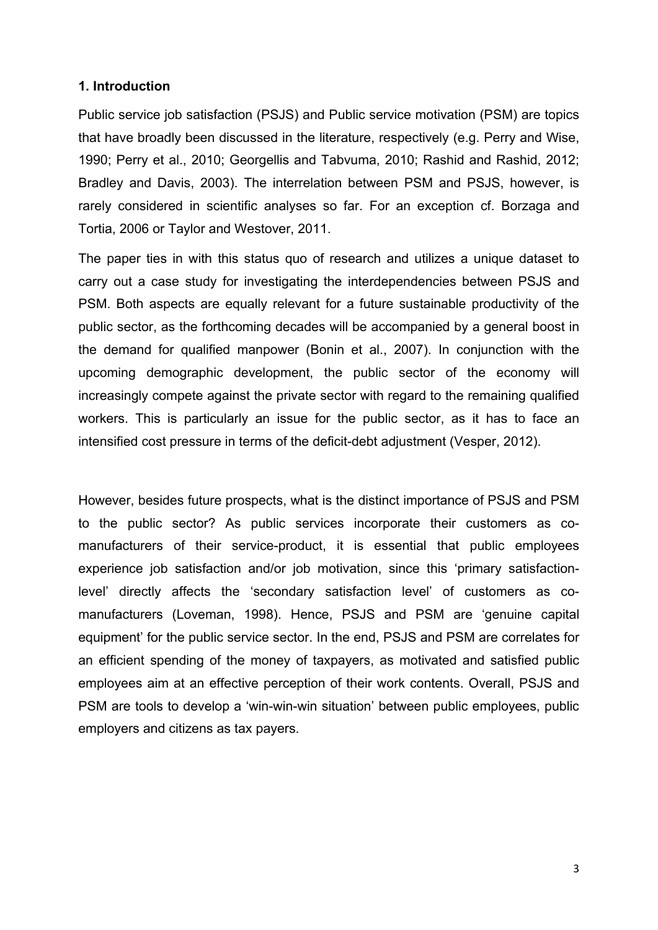#### **1. Introduction**

Public service job satisfaction (PSJS) and Public service motivation (PSM) are topics that have broadly been discussed in the literature, respectively (e.g. Perry and Wise, 1990; Perry et al., 2010; Georgellis and Tabvuma, 2010; Rashid and Rashid, 2012; Bradley and Davis, 2003). The interrelation between PSM and PSJS, however, is rarely considered in scientific analyses so far. For an exception cf. Borzaga and Tortia, 2006 or Taylor and Westover, 2011.

The paper ties in with this status quo of research and utilizes a unique dataset to carry out a case study for investigating the interdependencies between PSJS and PSM. Both aspects are equally relevant for a future sustainable productivity of the public sector, as the forthcoming decades will be accompanied by a general boost in the demand for qualified manpower (Bonin et al., 2007). In conjunction with the upcoming demographic development, the public sector of the economy will increasingly compete against the private sector with regard to the remaining qualified workers. This is particularly an issue for the public sector, as it has to face an intensified cost pressure in terms of the deficit-debt adjustment (Vesper, 2012).

However, besides future prospects, what is the distinct importance of PSJS and PSM to the public sector? As public services incorporate their customers as comanufacturers of their service-product, it is essential that public employees experience job satisfaction and/or job motivation, since this 'primary satisfactionlevel' directly affects the 'secondary satisfaction level' of customers as comanufacturers (Loveman, 1998). Hence, PSJS and PSM are 'genuine capital equipment' for the public service sector. In the end, PSJS and PSM are correlates for an efficient spending of the money of taxpayers, as motivated and satisfied public employees aim at an effective perception of their work contents. Overall, PSJS and PSM are tools to develop a 'win-win-win situation' between public employees, public employers and citizens as tax payers.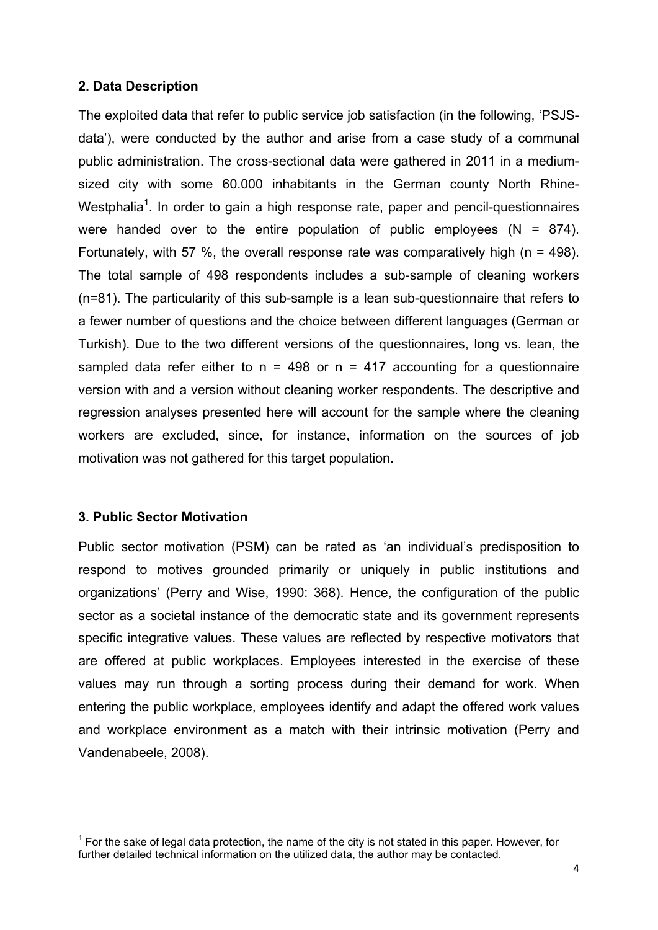#### **2. Data Description**

The exploited data that refer to public service job satisfaction (in the following, 'PSJSdata'), were conducted by the author and arise from a case study of a communal public administration. The cross-sectional data were gathered in 2011 in a mediumsized city with some 60.000 inhabitants in the German county North Rhine-Westphalia<sup>1</sup>. In order to gain a high response rate, paper and pencil-questionnaires were handed over to the entire population of public employees  $(N = 874)$ . Fortunately, with 57 %, the overall response rate was comparatively high ( $n = 498$ ). The total sample of 498 respondents includes a sub-sample of cleaning workers (n=81). The particularity of this sub-sample is a lean sub-questionnaire that refers to a fewer number of questions and the choice between different languages (German or Turkish). Due to the two different versions of the questionnaires, long vs. lean, the sampled data refer either to  $n = 498$  or  $n = 417$  accounting for a questionnaire version with and a version without cleaning worker respondents. The descriptive and regression analyses presented here will account for the sample where the cleaning workers are excluded, since, for instance, information on the sources of job motivation was not gathered for this target population.

#### **3. Public Sector Motivation**

Public sector motivation (PSM) can be rated as 'an individual's predisposition to respond to motives grounded primarily or uniquely in public institutions and organizations' (Perry and Wise, 1990: 368). Hence, the configuration of the public sector as a societal instance of the democratic state and its government represents specific integrative values. These values are reflected by respective motivators that are offered at public workplaces. Employees interested in the exercise of these values may run through a sorting process during their demand for work. When entering the public workplace, employees identify and adapt the offered work values and workplace environment as a match with their intrinsic motivation (Perry and Vandenabeele, 2008).

<sup>————————————————————&</sup>lt;br><sup>1</sup> For the sake of legal data protection, the name of the city is not stated in this paper. However, for further detailed technical information on the utilized data, the author may be contacted.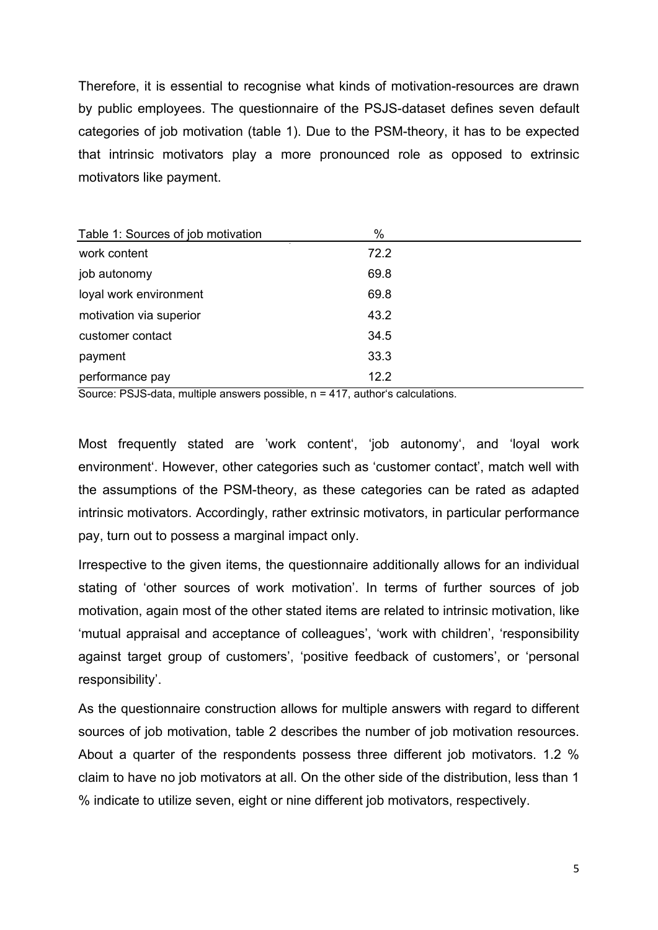Therefore, it is essential to recognise what kinds of motivation-resources are drawn by public employees. The questionnaire of the PSJS-dataset defines seven default categories of job motivation (table 1). Due to the PSM-theory, it has to be expected that intrinsic motivators play a more pronounced role as opposed to extrinsic motivators like payment.

| Table 1: Sources of job motivation | %    |  |
|------------------------------------|------|--|
| work content                       | 72.2 |  |
| job autonomy                       | 69.8 |  |
| loyal work environment             | 69.8 |  |
| motivation via superior            | 43.2 |  |
| customer contact                   | 34.5 |  |
| payment                            | 33.3 |  |
| performance pay                    | 12.2 |  |

Source: PSJS-data, multiple answers possible, n = 417, author's calculations.

Most frequently stated are 'work content', 'job autonomy', and 'loyal work environment'. However, other categories such as 'customer contact', match well with the assumptions of the PSM-theory, as these categories can be rated as adapted intrinsic motivators. Accordingly, rather extrinsic motivators, in particular performance pay, turn out to possess a marginal impact only.

Irrespective to the given items, the questionnaire additionally allows for an individual stating of 'other sources of work motivation'. In terms of further sources of job motivation, again most of the other stated items are related to intrinsic motivation, like 'mutual appraisal and acceptance of colleagues', 'work with children', 'responsibility against target group of customers', 'positive feedback of customers', or 'personal responsibility'.

As the questionnaire construction allows for multiple answers with regard to different sources of job motivation, table 2 describes the number of job motivation resources. About a quarter of the respondents possess three different job motivators. 1.2 % claim to have no job motivators at all. On the other side of the distribution, less than 1 % indicate to utilize seven, eight or nine different job motivators, respectively.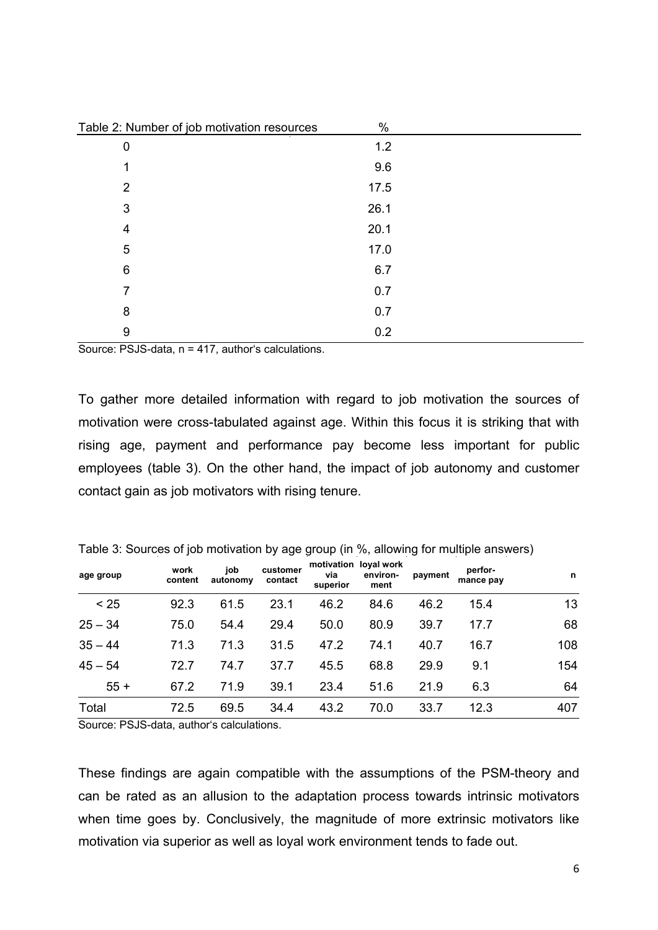| Table 2: Number of job motivation resources | $\%$ |  |
|---------------------------------------------|------|--|
| 0                                           | 1.2  |  |
| 1                                           | 9.6  |  |
| $\overline{2}$                              | 17.5 |  |
| 3                                           | 26.1 |  |
| 4                                           | 20.1 |  |
| 5                                           | 17.0 |  |
| 6                                           | 6.7  |  |
| 7                                           | 0.7  |  |
| 8                                           | 0.7  |  |
| 9                                           | 0.2  |  |

Source: PSJS-data, n = 417, author's calculations.

To gather more detailed information with regard to job motivation the sources of motivation were cross-tabulated against age. Within this focus it is striking that with rising age, payment and performance pay become less important for public employees (table 3). On the other hand, the impact of job autonomy and customer contact gain as job motivators with rising tenure.

| age group | work<br>content | job<br>autonomy | customer<br>contact | via<br>superior | motivation loyal work<br>environ-<br>ment | payment | perfor-<br>mance pay | n   |
|-----------|-----------------|-----------------|---------------------|-----------------|-------------------------------------------|---------|----------------------|-----|
| < 25      | 92.3            | 61.5            | 23.1                | 46.2            | 84.6                                      | 46.2    | 15.4                 | 13  |
| $25 - 34$ | 75.0            | 54.4            | 29.4                | 50.0            | 80.9                                      | 39.7    | 17.7                 | 68  |
| $35 - 44$ | 71.3            | 71.3            | 31.5                | 47.2            | 74.1                                      | 40.7    | 16.7                 | 108 |
| $45 - 54$ | 72.7            | 74.7            | 37.7                | 45.5            | 68.8                                      | 29.9    | 9.1                  | 154 |
| $55+$     | 67.2            | 71.9            | 39.1                | 23.4            | 51.6                                      | 21.9    | 6.3                  | 64  |
| Total     | 72.5            | 69.5            | 34.4                | 43.2            | 70.0                                      | 33.7    | 12.3                 | 407 |

Table 3: Sources of job motivation by age group (in %, allowing for multiple answers)

Source: PSJS-data, author's calculations.

These findings are again compatible with the assumptions of the PSM-theory and can be rated as an allusion to the adaptation process towards intrinsic motivators when time goes by. Conclusively, the magnitude of more extrinsic motivators like motivation via superior as well as loyal work environment tends to fade out.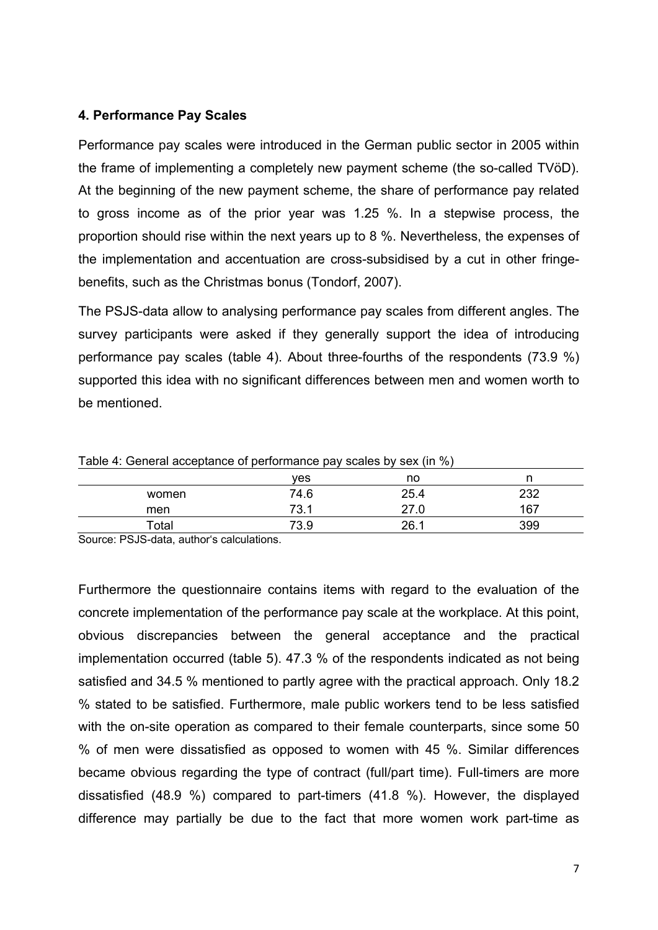### **4. Performance Pay Scales**

Performance pay scales were introduced in the German public sector in 2005 within the frame of implementing a completely new payment scheme (the so-called TVöD). At the beginning of the new payment scheme, the share of performance pay related to gross income as of the prior year was 1.25 %. In a stepwise process, the proportion should rise within the next years up to 8 %. Nevertheless, the expenses of the implementation and accentuation are cross-subsidised by a cut in other fringebenefits, such as the Christmas bonus (Tondorf, 2007).

The PSJS-data allow to analysing performance pay scales from different angles. The survey participants were asked if they generally support the idea of introducing performance pay scales (table 4). About three-fourths of the respondents (73.9 %) supported this idea with no significant differences between men and women worth to be mentioned.

| Table 4: General acceptance of performance pay scales by sex (ii) %) |            |      |     |  |
|----------------------------------------------------------------------|------------|------|-----|--|
|                                                                      | <b>ves</b> | no   |     |  |
| women                                                                | 74.6       | 25.4 | 232 |  |
| men                                                                  | 73.1       | 27.0 | 167 |  |
| Total                                                                | 73.9       | 26.1 | 399 |  |

Table 4: General acceptance of performance pay scales by sex  $\langle in \, \theta' \rangle$ 

Source: PSJS-data, author's calculations.

Furthermore the questionnaire contains items with regard to the evaluation of the concrete implementation of the performance pay scale at the workplace. At this point, obvious discrepancies between the general acceptance and the practical implementation occurred (table 5). 47.3 % of the respondents indicated as not being satisfied and 34.5 % mentioned to partly agree with the practical approach. Only 18.2 % stated to be satisfied. Furthermore, male public workers tend to be less satisfied with the on-site operation as compared to their female counterparts, since some 50 % of men were dissatisfied as opposed to women with 45 %. Similar differences became obvious regarding the type of contract (full/part time). Full-timers are more dissatisfied (48.9 %) compared to part-timers (41.8 %). However, the displayed difference may partially be due to the fact that more women work part-time as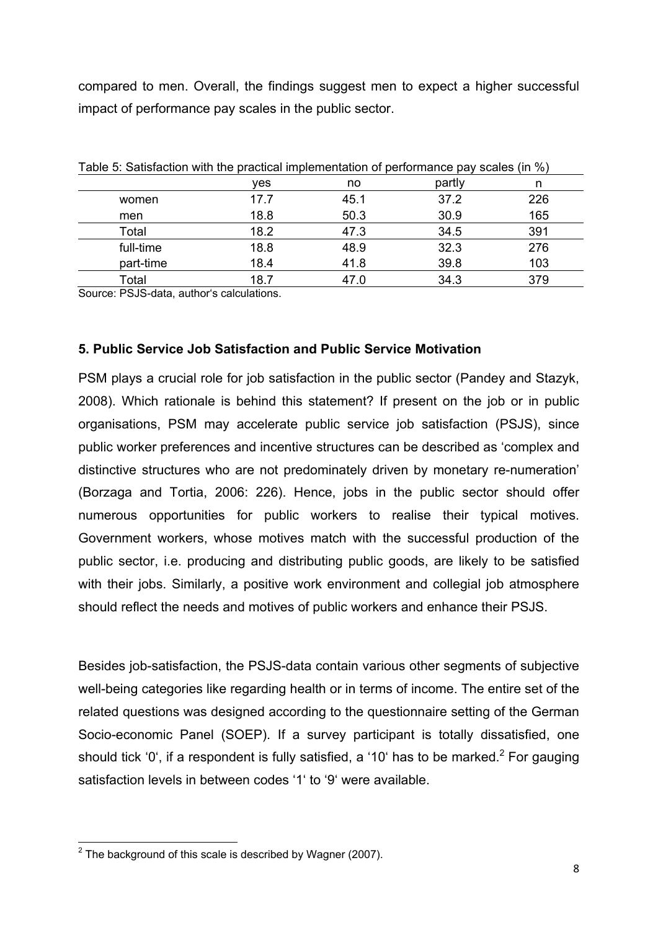compared to men. Overall, the findings suggest men to expect a higher successful impact of performance pay scales in the public sector.

| Table 5: Satisfaction with the practical implementation of performance pay scales (in %) |      |      |        |     |
|------------------------------------------------------------------------------------------|------|------|--------|-----|
|                                                                                          | yes  | no   | partly | n   |
| women                                                                                    | 17.7 | 45.1 | 37.2   | 226 |
| men                                                                                      | 18.8 | 50.3 | 30.9   | 165 |
| Total                                                                                    | 18.2 | 47.3 | 34.5   | 391 |
| full-time                                                                                | 18.8 | 48.9 | 32.3   | 276 |
| part-time                                                                                | 18.4 | 41.8 | 39.8   | 103 |
| Total                                                                                    | 18.7 | 47.0 | 34.3   | 379 |

Table 5: Satisfaction with the practical implementation of performance pay scales (in %)

Source: PSJS-data, author's calculations.

#### **5. Public Service Job Satisfaction and Public Service Motivation**

PSM plays a crucial role for job satisfaction in the public sector (Pandey and Stazyk, 2008). Which rationale is behind this statement? If present on the job or in public organisations, PSM may accelerate public service job satisfaction (PSJS), since public worker preferences and incentive structures can be described as 'complex and distinctive structures who are not predominately driven by monetary re-numeration' (Borzaga and Tortia, 2006: 226). Hence, jobs in the public sector should offer numerous opportunities for public workers to realise their typical motives. Government workers, whose motives match with the successful production of the public sector, i.e. producing and distributing public goods, are likely to be satisfied with their jobs. Similarly, a positive work environment and collegial job atmosphere should reflect the needs and motives of public workers and enhance their PSJS.

Besides job-satisfaction, the PSJS-data contain various other segments of subjective well-being categories like regarding health or in terms of income. The entire set of the related questions was designed according to the questionnaire setting of the German Socio-economic Panel (SOEP). If a survey participant is totally dissatisfied, one should tick '0', if a respondent is fully satisfied, a '10' has to be marked.<sup>2</sup> For gauging satisfaction levels in between codes '1' to '9' were available.

 2 The background of this scale is described by Wagner (2007).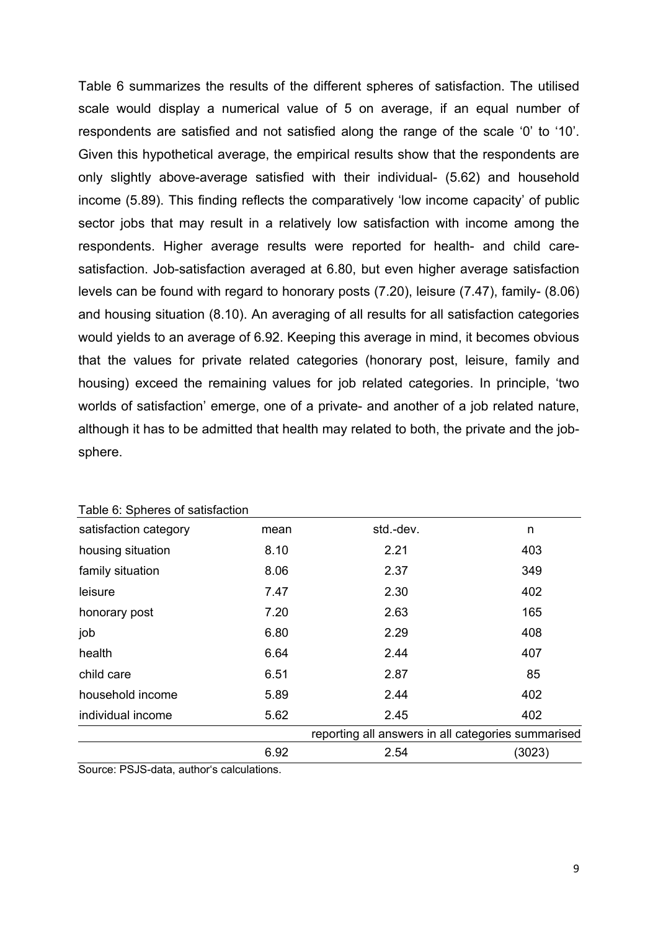Table 6 summarizes the results of the different spheres of satisfaction. The utilised scale would display a numerical value of 5 on average, if an equal number of respondents are satisfied and not satisfied along the range of the scale '0' to '10'. Given this hypothetical average, the empirical results show that the respondents are only slightly above-average satisfied with their individual- (5.62) and household income (5.89). This finding reflects the comparatively 'low income capacity' of public sector jobs that may result in a relatively low satisfaction with income among the respondents. Higher average results were reported for health- and child caresatisfaction. Job-satisfaction averaged at 6.80, but even higher average satisfaction levels can be found with regard to honorary posts (7.20), leisure (7.47), family- (8.06) and housing situation (8.10). An averaging of all results for all satisfaction categories would yields to an average of 6.92. Keeping this average in mind, it becomes obvious that the values for private related categories (honorary post, leisure, family and housing) exceed the remaining values for job related categories. In principle, 'two worlds of satisfaction' emerge, one of a private- and another of a job related nature, although it has to be admitted that health may related to both, the private and the jobsphere.

| individual income     | 5.62 | 2.45      | 402 |
|-----------------------|------|-----------|-----|
| household income      | 5.89 | 2.44      | 402 |
| child care            | 6.51 | 2.87      | 85  |
| health                | 6.64 | 2.44      | 407 |
| job                   | 6.80 | 2.29      | 408 |
| honorary post         | 7.20 | 2.63      | 165 |
| leisure               | 7.47 | 2.30      | 402 |
| family situation      | 8.06 | 2.37      | 349 |
| housing situation     | 8.10 | 2.21      | 403 |
| satisfaction category | mean | std.-dev. | n   |

Table 6: Spheres of satisfaction

Source: PSJS-data, author's calculations.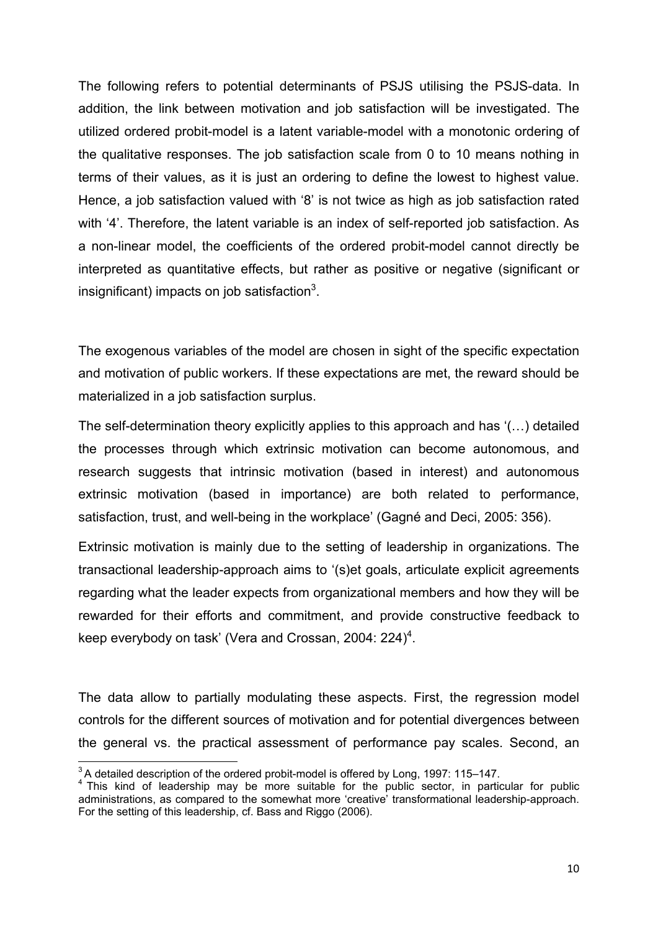The following refers to potential determinants of PSJS utilising the PSJS-data. In addition, the link between motivation and job satisfaction will be investigated. The utilized ordered probit-model is a latent variable-model with a monotonic ordering of the qualitative responses. The job satisfaction scale from 0 to 10 means nothing in terms of their values, as it is just an ordering to define the lowest to highest value. Hence, a job satisfaction valued with '8' is not twice as high as job satisfaction rated with '4'. Therefore, the latent variable is an index of self-reported job satisfaction. As a non-linear model, the coefficients of the ordered probit-model cannot directly be interpreted as quantitative effects, but rather as positive or negative (significant or insignificant) impacts on job satisfaction $3$ .

The exogenous variables of the model are chosen in sight of the specific expectation and motivation of public workers. If these expectations are met, the reward should be materialized in a job satisfaction surplus.

The self-determination theory explicitly applies to this approach and has '(…) detailed the processes through which extrinsic motivation can become autonomous, and research suggests that intrinsic motivation (based in interest) and autonomous extrinsic motivation (based in importance) are both related to performance, satisfaction, trust, and well-being in the workplace' (Gagné and Deci, 2005: 356).

Extrinsic motivation is mainly due to the setting of leadership in organizations. The transactional leadership-approach aims to '(s)et goals, articulate explicit agreements regarding what the leader expects from organizational members and how they will be rewarded for their efforts and commitment, and provide constructive feedback to keep everybody on task' (Vera and Crossan, 2004: 224)<sup>4</sup>.

The data allow to partially modulating these aspects. First, the regression model controls for the different sources of motivation and for potential divergences between the general vs. the practical assessment of performance pay scales. Second, an

<sup>&</sup>lt;sup>3</sup>A detailed description of the ordered probit-model is offered by Long, 1997: 115-147.

<sup>&</sup>lt;sup>4</sup> This kind of leadership may be more suitable for the public sector, in particular for public <sup>4</sup> administrations, as compared to the somewhat more 'creative' transformational leadership-approach. For the setting of this leadership, cf. Bass and Riggo (2006).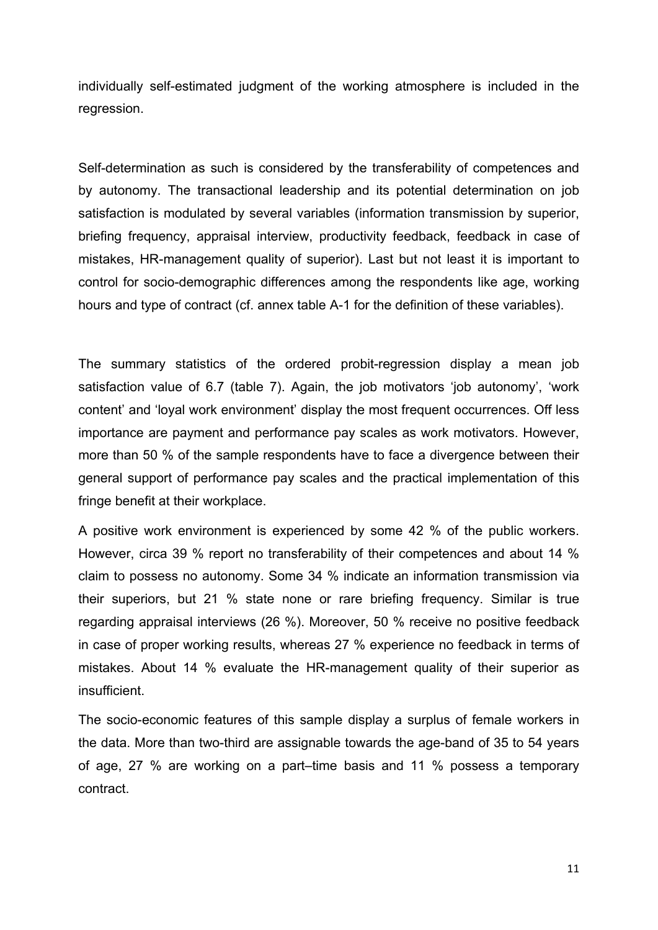individually self-estimated judgment of the working atmosphere is included in the regression.

Self-determination as such is considered by the transferability of competences and by autonomy. The transactional leadership and its potential determination on job satisfaction is modulated by several variables (information transmission by superior, briefing frequency, appraisal interview, productivity feedback, feedback in case of mistakes, HR-management quality of superior). Last but not least it is important to control for socio-demographic differences among the respondents like age, working hours and type of contract (cf. annex table A-1 for the definition of these variables).

The summary statistics of the ordered probit-regression display a mean job satisfaction value of 6.7 (table 7). Again, the job motivators 'job autonomy', 'work content' and 'loyal work environment' display the most frequent occurrences. Off less importance are payment and performance pay scales as work motivators. However, more than 50 % of the sample respondents have to face a divergence between their general support of performance pay scales and the practical implementation of this fringe benefit at their workplace.

A positive work environment is experienced by some 42 % of the public workers. However, circa 39 % report no transferability of their competences and about 14 % claim to possess no autonomy. Some 34 % indicate an information transmission via their superiors, but 21 % state none or rare briefing frequency. Similar is true regarding appraisal interviews (26 %). Moreover, 50 % receive no positive feedback in case of proper working results, whereas 27 % experience no feedback in terms of mistakes. About 14 % evaluate the HR-management quality of their superior as insufficient.

The socio-economic features of this sample display a surplus of female workers in the data. More than two-third are assignable towards the age-band of 35 to 54 years of age, 27 % are working on a part–time basis and 11 % possess a temporary contract.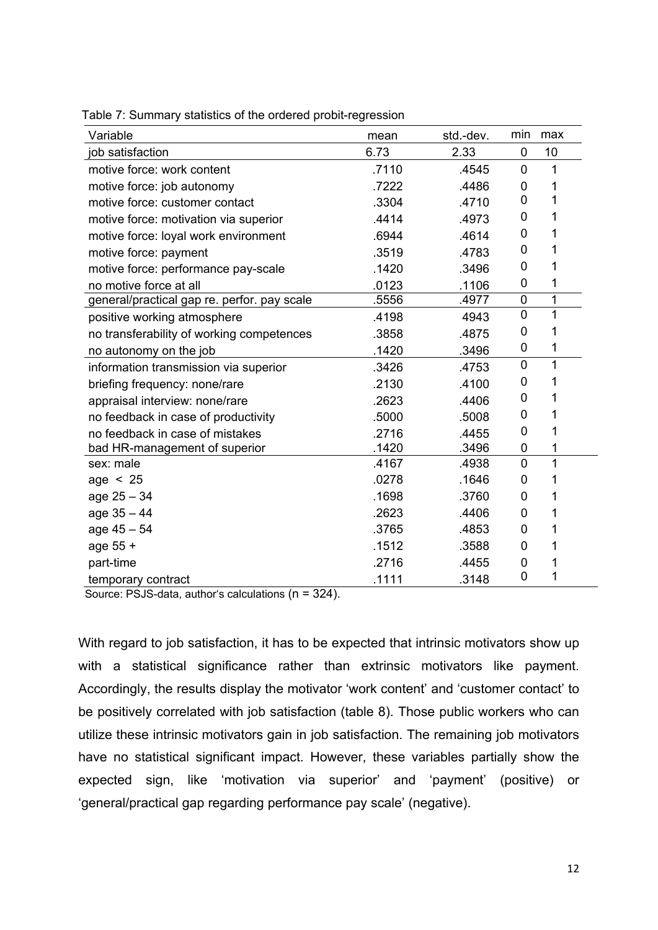| Variable                                    | mean  | std.-dev. | min            | max |
|---------------------------------------------|-------|-----------|----------------|-----|
| job satisfaction                            | 6.73  | 2.33      | $\mathbf 0$    | 10  |
| motive force: work content                  | .7110 | .4545     | 0              | 1   |
| motive force: job autonomy                  | .7222 | .4486     | 0              | 1   |
| motive force: customer contact              | .3304 | .4710     | 0              | 1   |
| motive force: motivation via superior       | .4414 | .4973     | 0              | 1   |
| motive force: loyal work environment        | .6944 | .4614     | 0              | 1   |
| motive force: payment                       | .3519 | .4783     | 0              | 1   |
| motive force: performance pay-scale         | .1420 | .3496     | 0              | 1   |
| no motive force at all                      | .0123 | .1106     | 0              | 1   |
| general/practical gap re. perfor. pay scale | .5556 | .4977     | 0              | 1   |
| positive working atmosphere                 | .4198 | 4943      | 0              | 1   |
| no transferability of working competences   | .3858 | .4875     | 0              | 1   |
| no autonomy on the job                      | .1420 | .3496     | 0              | 1   |
| information transmission via superior       | .3426 | .4753     | 0              | 1   |
| briefing frequency: none/rare               | .2130 | .4100     | 0              | 1   |
| appraisal interview: none/rare              | .2623 | .4406     | 0              | 1   |
| no feedback in case of productivity         | .5000 | .5008     | 0              | 1   |
| no feedback in case of mistakes             | .2716 | .4455     | 0              | 1   |
| bad HR-management of superior               | .1420 | .3496     | 0              | 1   |
| sex: male                                   | .4167 | .4938     | $\overline{0}$ | 1   |
| age $< 25$                                  | .0278 | .1646     | 0              | 1   |
| $age 25 - 34$                               | .1698 | .3760     | 0              | 1   |
| $age 35 - 44$                               | .2623 | .4406     | 0              | 1   |
| $age 45 - 54$                               | .3765 | .4853     | 0              | 1   |
| age 55 +                                    | .1512 | .3588     | 0              | 1   |
| part-time                                   | .2716 | .4455     | 0              | 1   |
| temporary contract                          | .1111 | .3148     | 0              | 1   |

Table 7: Summary statistics of the ordered probit-regression

Source: PSJS-data, author's calculations (n = 324).

With regard to job satisfaction, it has to be expected that intrinsic motivators show up with a statistical significance rather than extrinsic motivators like payment. Accordingly, the results display the motivator 'work content' and 'customer contact' to be positively correlated with job satisfaction (table 8). Those public workers who can utilize these intrinsic motivators gain in job satisfaction. The remaining job motivators have no statistical significant impact. However, these variables partially show the expected sign, like 'motivation via superior' and 'payment' (positive) or 'general/practical gap regarding performance pay scale' (negative).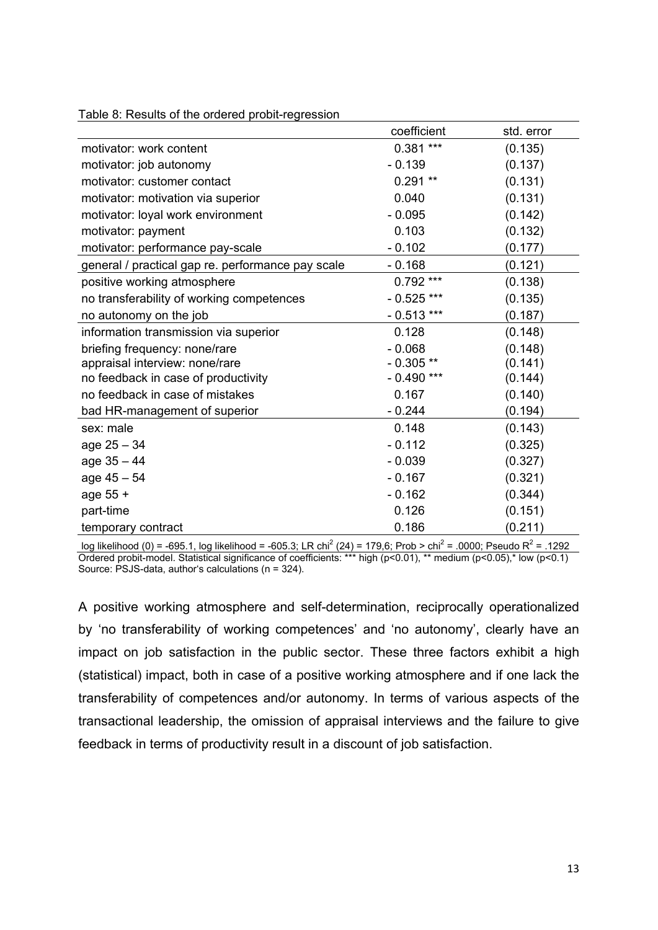|                                                   | coefficient  | std. error |
|---------------------------------------------------|--------------|------------|
| motivator: work content                           | $0.381***$   | (0.135)    |
| motivator: job autonomy                           | $-0.139$     | (0.137)    |
| motivator: customer contact                       | $0.291**$    | (0.131)    |
| motivator: motivation via superior                | 0.040        | (0.131)    |
| motivator: loyal work environment                 | $-0.095$     | (0.142)    |
| motivator: payment                                | 0.103        | (0.132)    |
| motivator: performance pay-scale                  | $-0.102$     | (0.177)    |
| general / practical gap re. performance pay scale | $-0.168$     | (0.121)    |
| positive working atmosphere                       | $0.792***$   | (0.138)    |
| no transferability of working competences         | $-0.525$ *** | (0.135)    |
| no autonomy on the job                            | $-0.513$ *** | (0.187)    |
| information transmission via superior             | 0.128        | (0.148)    |
| briefing frequency: none/rare                     | $-0.068$     | (0.148)    |
| appraisal interview: none/rare                    | $-0.305**$   | (0.141)    |
| no feedback in case of productivity               | $-0.490$ *** | (0.144)    |
| no feedback in case of mistakes                   | 0.167        | (0.140)    |
| bad HR-management of superior                     | $-0.244$     | (0.194)    |
| sex: male                                         | 0.148        | (0.143)    |
| age 25 - 34                                       | $-0.112$     | (0.325)    |
| $age 35 - 44$                                     | $-0.039$     | (0.327)    |
| $age 45 - 54$                                     | $-0.167$     | (0.321)    |
| age 55 +                                          | $-0.162$     | (0.344)    |
| part-time                                         | 0.126        | (0.151)    |
| temporary contract                                | 0.186        | (0.211)    |

Table 8: Results of the ordered probit-regression

log likelihood (0) = -695.1, log likelihood = -605.3; LR chi<sup>2</sup> (24) = 179,6; Prob > chi<sup>2</sup> = .0000; Pseudo R<sup>2</sup> = .1292 Ordered probit-model. Statistical significance of coefficients: \*\*\* high (p<0.01), \*\* medium (p<0.05),\* low (p<0.1) Source:  $PSJS$ -data, author's calculations ( $n = 324$ ).

A positive working atmosphere and self-determination, reciprocally operationalized by 'no transferability of working competences' and 'no autonomy', clearly have an impact on job satisfaction in the public sector. These three factors exhibit a high (statistical) impact, both in case of a positive working atmosphere and if one lack the transferability of competences and/or autonomy. In terms of various aspects of the transactional leadership, the omission of appraisal interviews and the failure to give feedback in terms of productivity result in a discount of job satisfaction.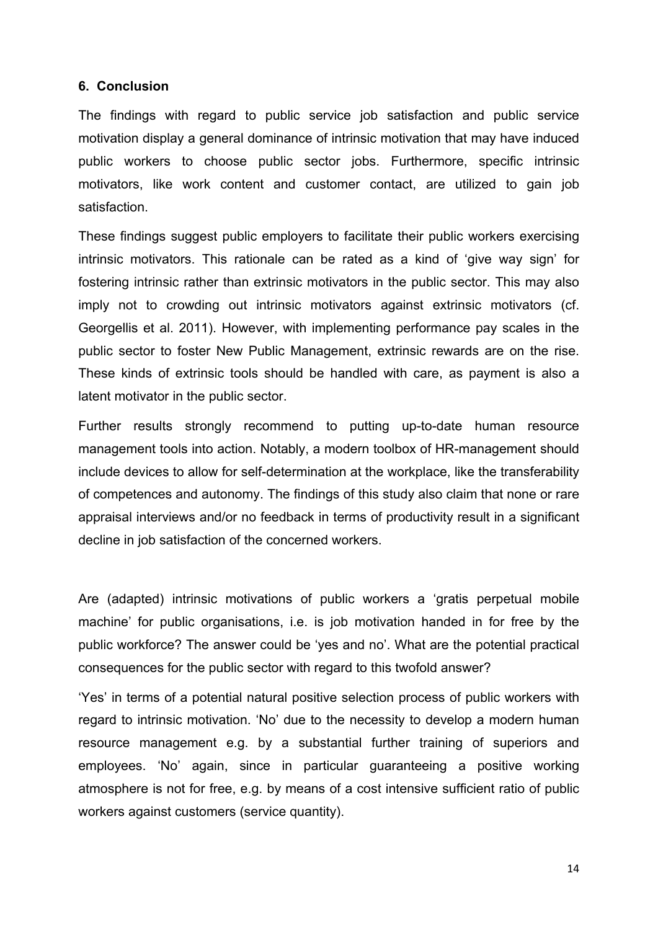#### **6. Conclusion**

The findings with regard to public service job satisfaction and public service motivation display a general dominance of intrinsic motivation that may have induced public workers to choose public sector jobs. Furthermore, specific intrinsic motivators, like work content and customer contact, are utilized to gain job satisfaction.

These findings suggest public employers to facilitate their public workers exercising intrinsic motivators. This rationale can be rated as a kind of 'give way sign' for fostering intrinsic rather than extrinsic motivators in the public sector. This may also imply not to crowding out intrinsic motivators against extrinsic motivators (cf. Georgellis et al. 2011). However, with implementing performance pay scales in the public sector to foster New Public Management, extrinsic rewards are on the rise. These kinds of extrinsic tools should be handled with care, as payment is also a latent motivator in the public sector.

Further results strongly recommend to putting up-to-date human resource management tools into action. Notably, a modern toolbox of HR-management should include devices to allow for self-determination at the workplace, like the transferability of competences and autonomy. The findings of this study also claim that none or rare appraisal interviews and/or no feedback in terms of productivity result in a significant decline in job satisfaction of the concerned workers.

Are (adapted) intrinsic motivations of public workers a 'gratis perpetual mobile machine' for public organisations, i.e. is job motivation handed in for free by the public workforce? The answer could be 'yes and no'. What are the potential practical consequences for the public sector with regard to this twofold answer?

'Yes' in terms of a potential natural positive selection process of public workers with regard to intrinsic motivation. 'No' due to the necessity to develop a modern human resource management e.g. by a substantial further training of superiors and employees. 'No' again, since in particular guaranteeing a positive working atmosphere is not for free, e.g. by means of a cost intensive sufficient ratio of public workers against customers (service quantity).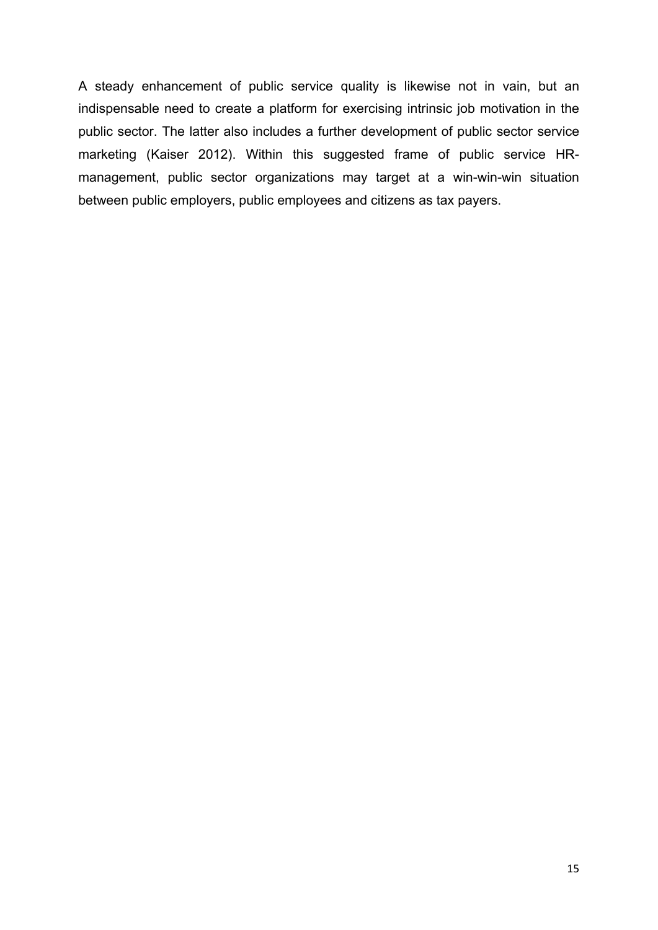A steady enhancement of public service quality is likewise not in vain, but an indispensable need to create a platform for exercising intrinsic job motivation in the public sector. The latter also includes a further development of public sector service marketing (Kaiser 2012). Within this suggested frame of public service HRmanagement, public sector organizations may target at a win-win-win situation between public employers, public employees and citizens as tax payers.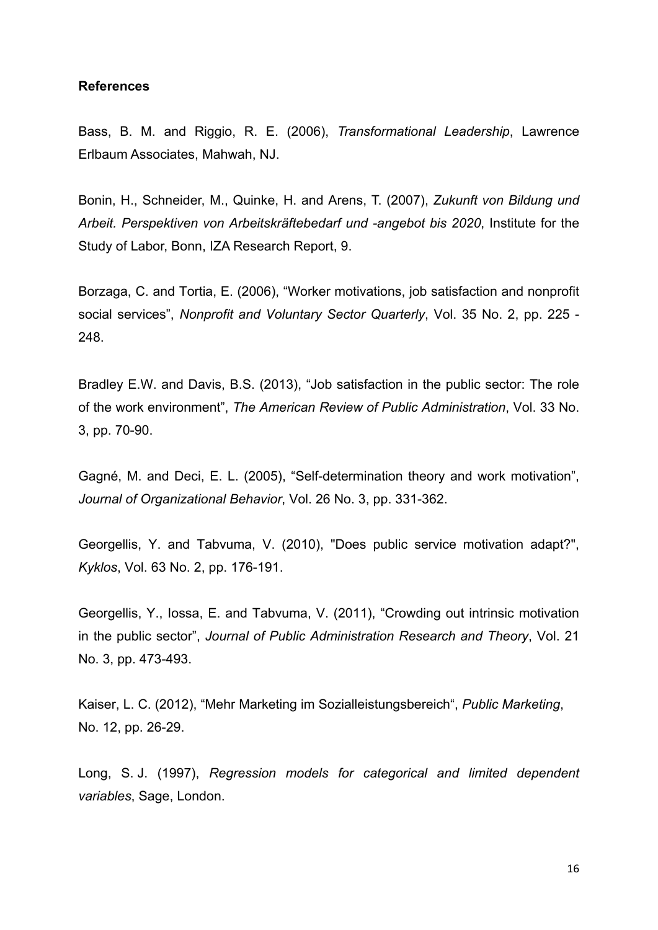#### **References**

Bass, B. M. and Riggio, R. E. (2006), *Transformational Leadership*, Lawrence Erlbaum Associates, Mahwah, NJ.

Bonin, H., Schneider, M., Quinke, H. and Arens, T. (2007), *Zukunft von Bildung und Arbeit. Perspektiven von Arbeitskräftebedarf und -angebot bis 2020*, Institute for the Study of Labor, Bonn, IZA Research Report, 9.

Borzaga, C. and Tortia, E. (2006), "Worker motivations, job satisfaction and nonprofit social services", *Nonprofit and Voluntary Sector Quarterly*, Vol. 35 No. 2, pp. 225 - 248.

Bradley E.W. and Davis, B.S. (2013), "Job satisfaction in the public sector: The role of the work environment", *The American Review of Public Administration*, Vol. 33 No. 3, pp. 70-90.

Gagné, M. and Deci, E. L. (2005), "Self-determination theory and work motivation", *Journal of Organizational Behavior*, Vol. 26 No. 3, pp. 331-362.

Georgellis, Y. and Tabvuma, V. (2010), "Does public service motivation adapt?", *Kyklos*, Vol. 63 No. 2, pp. 176-191.

Georgellis, Y., Iossa, E. and Tabvuma, V. (2011), "Crowding out intrinsic motivation in the public sector", *Journal of Public Administration Research and Theory*, Vol. 21 No. 3, pp. 473-493.

Kaiser, L. C. (2012), "Mehr Marketing im Sozialleistungsbereich", *Public Marketing*, No. 12, pp. 26-29.

Long, S. J. (1997), *Regression models for categorical and limited dependent variables*, Sage, London.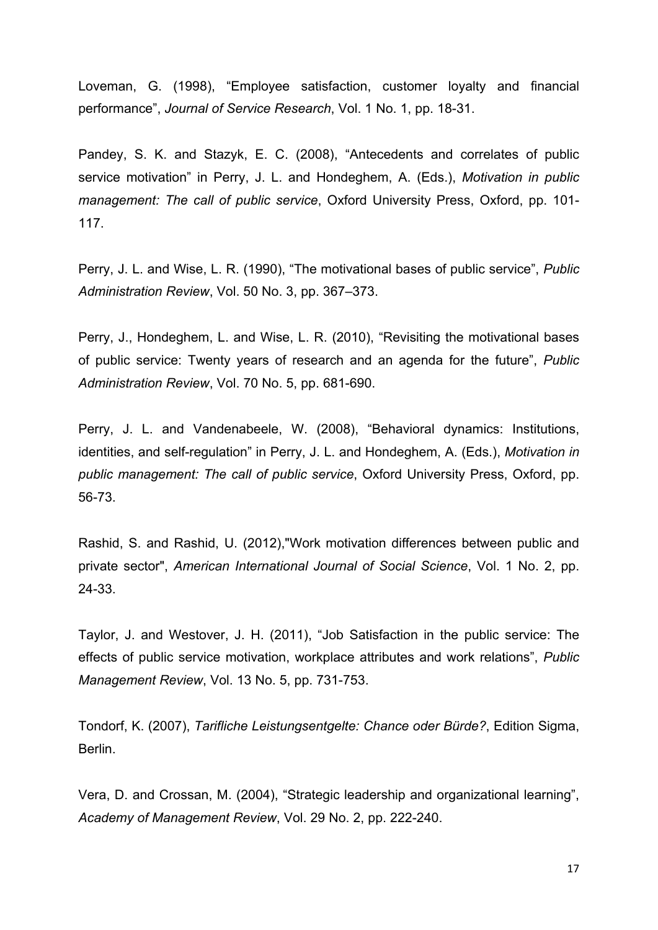Loveman, G. (1998), "Employee satisfaction, customer loyalty and financial performance", *Journal of Service Research*, Vol. 1 No. 1, pp. 18-31.

Pandey, S. K. and Stazyk, E. C. (2008), "Antecedents and correlates of public service motivation" in Perry, J. L. and Hondeghem, A. (Eds.), *Motivation in public management: The call of public service*, Oxford University Press, Oxford, pp. 101- 117.

Perry, J. L. and Wise, L. R. (1990), "The motivational bases of public service", *Public Administration Review*, Vol. 50 No. 3, pp. 367–373.

Perry, J., Hondeghem, L. and Wise, L. R. (2010), "Revisiting the motivational bases of public service: Twenty years of research and an agenda for the future", *Public Administration Review*, Vol. 70 No. 5, pp. 681-690.

Perry, J. L. and Vandenabeele, W. (2008), "Behavioral dynamics: Institutions, identities, and self-regulation" in Perry, J. L. and Hondeghem, A. (Eds.), *Motivation in public management: The call of public service*, Oxford University Press, Oxford, pp. 56-73.

Rashid, S. and Rashid, U. (2012),"Work motivation differences between public and private sector", *American International Journal of Social Science*, Vol. 1 No. 2, pp. 24-33.

Taylor, J. and Westover, J. H. (2011), "Job Satisfaction in the public service: The effects of public service motivation, workplace attributes and work relations", *Public Management Review*, Vol. 13 No. 5, pp. 731-753.

Tondorf, K. (2007), *Tarifliche Leistungsentgelte: Chance oder Bürde?*, Edition Sigma, Berlin.

Vera, D. and Crossan, M. (2004), "Strategic leadership and organizational learning", *Academy of Management Review*, Vol. 29 No. 2, pp. 222-240.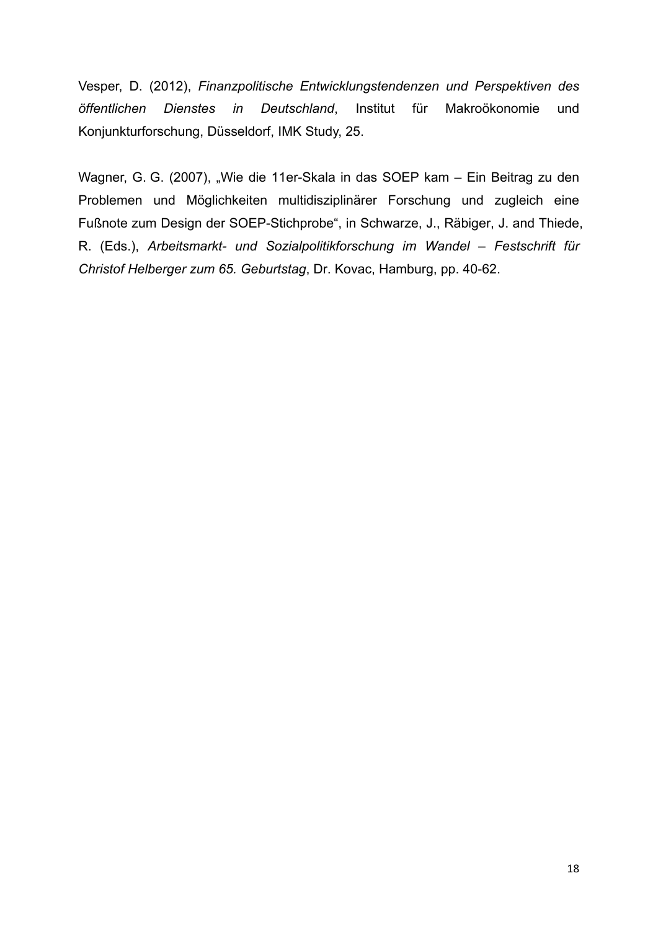Vesper, D. (2012), *Finanzpolitische Entwicklungstendenzen und Perspektiven des öffentlichen Dienstes in Deutschland*, Institut für Makroökonomie und Konjunkturforschung, Düsseldorf, IMK Study, 25.

Wagner, G. G. (2007), "Wie die 11er-Skala in das SOEP kam – Ein Beitrag zu den Problemen und Möglichkeiten multidisziplinärer Forschung und zugleich eine Fußnote zum Design der SOEP-Stichprobe", in Schwarze, J., Räbiger, J. and Thiede, R. (Eds.), *Arbeitsmarkt- und Sozialpolitikforschung im Wandel – Festschrift für Christof Helberger zum 65. Geburtstag*, Dr. Kovac, Hamburg, pp. 40-62.